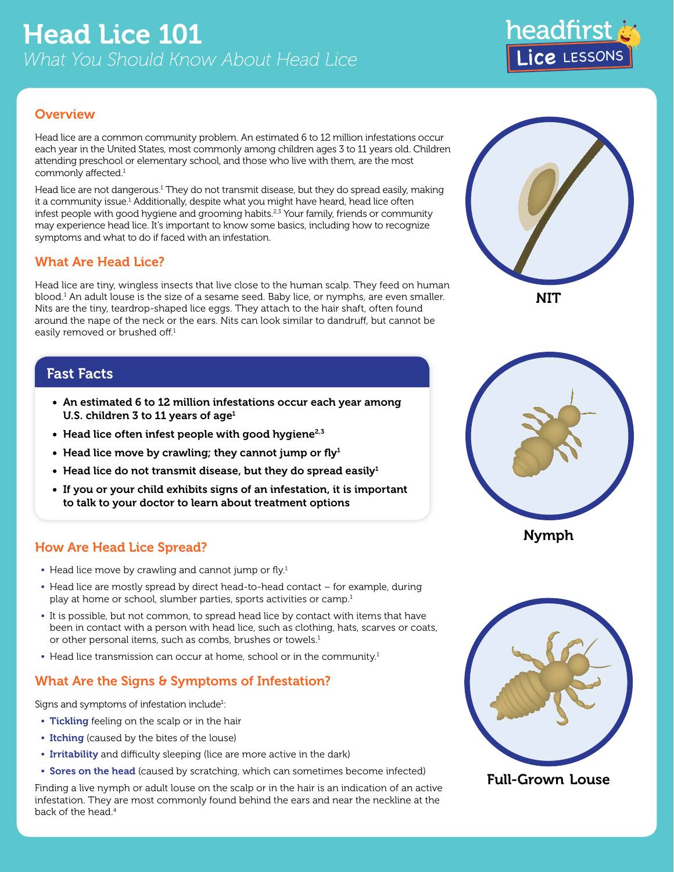

### **Overview**

Head lice are a common community problem. An estimated 6 to 12 million infestations occur each year in the United States, most commonly among children ages 3 to 11 years old. Children attending preschool or elementary school, and those who live with them, are the most commonly affected.<sup>1</sup>

Head lice are not dangerous.<sup>1</sup> They do not transmit disease, but they do spread easily, making it a community issue.<sup>1</sup> Additionally, despite what you might have heard, head lice often infest people with good hygiene and grooming habits.<sup>2,3</sup> Your family, friends or community may experience head lice. It's important to know some basics, including how to recognize symptoms and what to do if faced with an infestation.

### What Are Head Lice?

Head lice are tiny, wingless insects that live close to the human scalp. They feed on human blood.1 An adult louse is the size of a sesame seed. Baby lice, or nymphs, are even smaller. Nits are the tiny, teardrop-shaped lice eggs. They attach to the hair shaft, often found around the nape of the neck or the ears. Nits can look similar to dandruff, but cannot be easily removed or brushed off.<sup>1</sup>

## Fast Facts

- An estimated 6 to 12 million infestations occur each year among U.S. children 3 to 11 years of age $1$
- $\bullet$  Head lice often infest people with good hygiene<sup>2,3</sup>
- Head lice move by crawling; they cannot jump or  $fly<sup>1</sup>$
- Head lice do not transmit disease, but they do spread easily<sup>1</sup>
- If you or your child exhibits signs of an infestation, it is important to talk to your doctor to learn about treatment options

## How Are Head Lice Spread?

- Head lice move by crawling and cannot jump or fly.<sup>1</sup>
- **•** Head lice are mostly spread by direct head-to-head contact for example, during play at home or school, slumber parties, sports activities or camp.<sup>1</sup>
- **•** It is possible, but not common, to spread head lice by contact with items that have been in contact with a person with head lice, such as clothing, hats, scarves or coats, or other personal items, such as combs, brushes or towels.<sup>1</sup>
- Head lice transmission can occur at home, school or in the community.<sup>1</sup>

# What Are the Signs & Symptoms of Infestation?

Signs and symptoms of infestation include<sup>1</sup>:

- **•** Tickling feeling on the scalp or in the hair
- **•** Itching (caused by the bites of the louse)
- **•** Irritability and difficulty sleeping (lice are more active in the dark)
- **•** Sores on the head (caused by scratching, which can sometimes become infected)

Finding a live nymph or adult louse on the scalp or in the hair is an indication of an active infestation. They are most commonly found behind the ears and near the neckline at the back of the head.<sup>4</sup>





Nymph



Full-Grown Louse